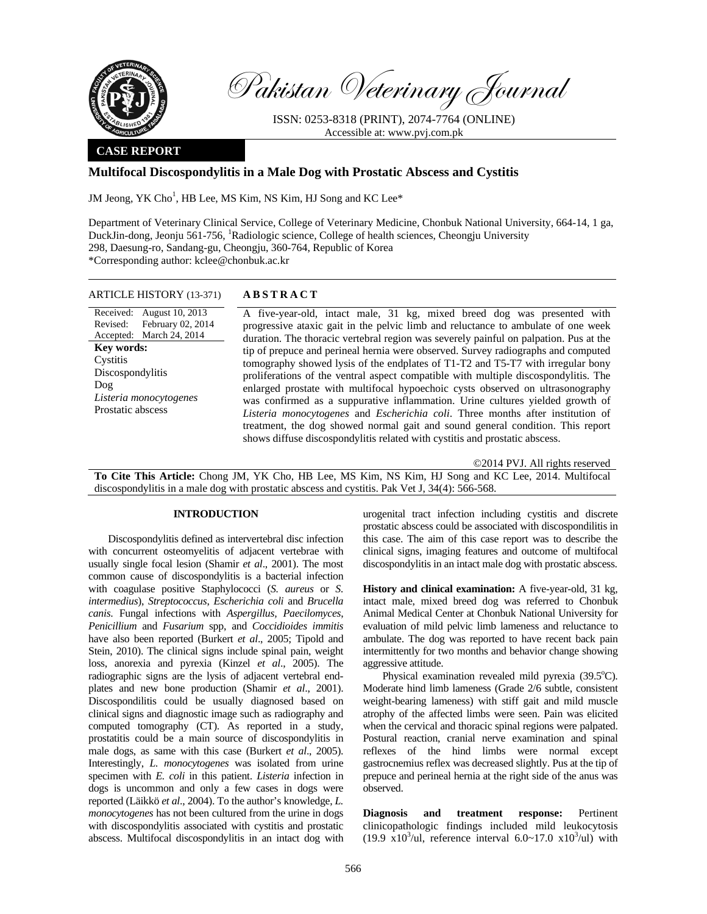

Pakistan Veterinary Journal

ISSN: 0253-8318 (PRINT), 2074-7764 (ONLINE) Accessible at: www.pvj.com.pk

## **CASE REPORT**

# **Multifocal Discospondylitis in a Male Dog with Prostatic Abscess and Cystitis**

JM Jeong, YK Cho<sup>1</sup>, HB Lee, MS Kim, NS Kim, HJ Song and KC Lee\*

Department of Veterinary Clinical Service, College of Veterinary Medicine, Chonbuk National University, 664-14, 1 ga, DuckJin-dong, Jeonju 561-756, <sup>1</sup>Radiologic science, College of health sciences, Cheongju University 298, Daesung-ro, Sandang-gu, Cheongju, 360-764, Republic of Korea \*Corresponding author: kclee@chonbuk.ac.kr

## ARTICLE HISTORY (13-371) **ABSTRACT**

Received: August 10, 2013 Revised: Accepted: March 24, 2014 February 02, 2014 **Key words:**  Cystitis Discospondylitis Dog *Listeria monocytogenes*  Prostatic abscess

 A five-year-old, intact male, 31 kg, mixed breed dog was presented with progressive ataxic gait in the pelvic limb and reluctance to ambulate of one week duration. The thoracic vertebral region was severely painful on palpation. Pus at the tip of prepuce and perineal hernia were observed. Survey radiographs and computed tomography showed lysis of the endplates of T1-T2 and T5-T7 with irregular bony proliferations of the ventral aspect compatible with multiple discospondylitis. The enlarged prostate with multifocal hypoechoic cysts observed on ultrasonography was confirmed as a suppurative inflammation. Urine cultures yielded growth of *Listeria monocytogenes* and *Escherichia coli*. Three months after institution of treatment, the dog showed normal gait and sound general condition. This report shows diffuse discospondylitis related with cystitis and prostatic abscess.

©2014 PVJ. All rights reserved

**To Cite This Article:** Chong JM, YK Cho, HB Lee, MS Kim, NS Kim, HJ Song and KC Lee, 2014. Multifocal discospondylitis in a male dog with prostatic abscess and cystitis. Pak Vet J, 34(4): 566-568.

# **INTRODUCTION**

Discospondylitis defined as intervertebral disc infection with concurrent osteomyelitis of adjacent vertebrae with usually single focal lesion (Shamir *et al*., 2001). The most common cause of discospondylitis is a bacterial infection with coagulase positive Staphylococci (*S. aureus* or *S. intermedius*), *Streptococcus*, *Escherichia coli* and *Brucella canis*. Fungal infections with *Aspergillus, Paecilomyces*, *Penicillium* and *Fusarium* spp, and *Coccidioides immitis* have also been reported (Burkert *et al*., 2005; Tipold and Stein, 2010). The clinical signs include spinal pain, weight loss, anorexia and pyrexia (Kinzel *et al*., 2005). The radiographic signs are the lysis of adjacent vertebral endplates and new bone production (Shamir *et al*., 2001). Discospondilitis could be usually diagnosed based on clinical signs and diagnostic image such as radiography and computed tomography (CT). As reported in a study, prostatitis could be a main source of discospondylitis in male dogs, as same with this case (Burkert *et al*., 2005). Interestingly, *L. monocytogenes* was isolated from urine specimen with *E. coli* in this patient. *Listeria* infection in dogs is uncommon and only a few cases in dogs were reported (Läikkö *et al*., 2004). To the author's knowledge, *L. monocytogenes* has not been cultured from the urine in dogs with discospondylitis associated with cystitis and prostatic abscess. Multifocal discospondylitis in an intact dog with

urogenital tract infection including cystitis and discrete prostatic abscess could be associated with discospondilitis in this case. The aim of this case report was to describe the clinical signs, imaging features and outcome of multifocal discospondylitis in an intact male dog with prostatic abscess.

**History and clinical examination:** A five-year-old, 31 kg, intact male, mixed breed dog was referred to Chonbuk Animal Medical Center at Chonbuk National University for evaluation of mild pelvic limb lameness and reluctance to ambulate. The dog was reported to have recent back pain intermittently for two months and behavior change showing aggressive attitude.

Physical examination revealed mild pyrexia  $(39.5^{\circ}C)$ . Moderate hind limb lameness (Grade 2/6 subtle, consistent weight-bearing lameness) with stiff gait and mild muscle atrophy of the affected limbs were seen. Pain was elicited when the cervical and thoracic spinal regions were palpated. Postural reaction, cranial nerve examination and spinal reflexes of the hind limbs were normal except gastrocnemius reflex was decreased slightly. Pus at the tip of prepuce and perineal hernia at the right side of the anus was observed.

**Diagnosis and treatment response:** Pertinent clinicopathologic findings included mild leukocytosis  $(19.9 \times 10^3/\text{ul})$ , reference interval  $6.0 \sim 17.0 \times 10^3/\text{ul}$  with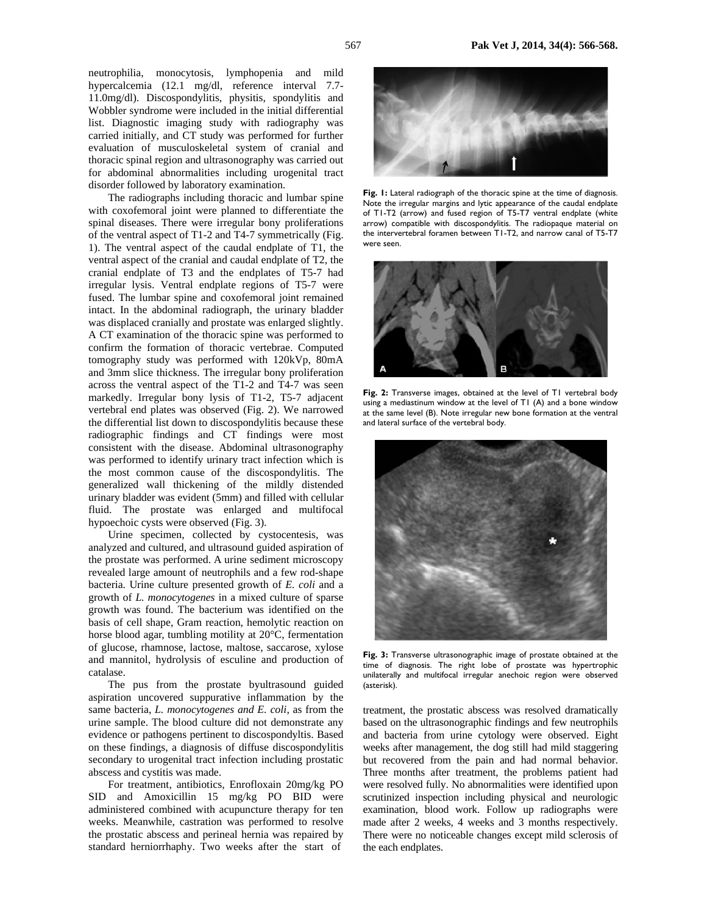neutrophilia, monocytosis, lymphopenia and mild hypercalcemia (12.1 mg/dl, reference interval 7.7- 11.0mg/dl). Discospondylitis, physitis, spondylitis and Wobbler syndrome were included in the initial differential list. Diagnostic imaging study with radiography was carried initially, and CT study was performed for further evaluation of musculoskeletal system of cranial and thoracic spinal region and ultrasonography was carried out for abdominal abnormalities including urogenital tract disorder followed by laboratory examination.

The radiographs including thoracic and lumbar spine with coxofemoral joint were planned to differentiate the spinal diseases. There were irregular bony proliferations of the ventral aspect of T1-2 and T4-7 symmetrically (Fig. 1). The ventral aspect of the caudal endplate of T1, the ventral aspect of the cranial and caudal endplate of T2, the cranial endplate of T3 and the endplates of T5-7 had irregular lysis. Ventral endplate regions of T5-7 were fused. The lumbar spine and coxofemoral joint remained intact. In the abdominal radiograph, the urinary bladder was displaced cranially and prostate was enlarged slightly. A CT examination of the thoracic spine was performed to confirm the formation of thoracic vertebrae. Computed tomography study was performed with 120kVp, 80mA and 3mm slice thickness. The irregular bony proliferation across the ventral aspect of the T1-2 and T4-7 was seen markedly. Irregular bony lysis of T1-2, T5-7 adjacent vertebral end plates was observed (Fig. 2). We narrowed the differential list down to discospondylitis because these radiographic findings and CT findings were most consistent with the disease. Abdominal ultrasonography was performed to identify urinary tract infection which is the most common cause of the discospondylitis. The generalized wall thickening of the mildly distended urinary bladder was evident (5mm) and filled with cellular fluid. The prostate was enlarged and multifocal hypoechoic cysts were observed (Fig. 3).

Urine specimen, collected by cystocentesis, was analyzed and cultured, and ultrasound guided aspiration of the prostate was performed. A urine sediment microscopy revealed large amount of neutrophils and a few rod-shape bacteria. Urine culture presented growth of *E. coli* and a growth of *L. monocytogenes* in a mixed culture of sparse growth was found. The bacterium was identified on the basis of cell shape, Gram reaction, hemolytic reaction on horse blood agar, tumbling motility at 20°C, fermentation of glucose, rhamnose, lactose, maltose, saccarose, xylose and mannitol, hydrolysis of esculine and production of catalase.

The pus from the prostate byultrasound guided aspiration uncovered suppurative inflammation by the same bacteria, *L. monocytogenes and E. coli,* as from the urine sample. The blood culture did not demonstrate any evidence or pathogens pertinent to discospondyltis. Based on these findings, a diagnosis of diffuse discospondylitis secondary to urogenital tract infection including prostatic abscess and cystitis was made.

For treatment, antibiotics, Enrofloxain 20mg/kg PO SID and Amoxicillin 15 mg/kg PO BID were administered combined with acupuncture therapy for ten weeks. Meanwhile, castration was performed to resolve the prostatic abscess and perineal hernia was repaired by standard herniorrhaphy. Two weeks after the start of



**Fig. 1:** Lateral radiograph of the thoracic spine at the time of diagnosis. Note the irregular margins and lytic appearance of the caudal endplate of T1-T2 (arrow) and fused region of T5-T7 ventral endplate (white arrow) compatible with discospondylitis. The radiopaque material on the intervertebral foramen between T1-T2, and narrow canal of T5-T7 were seen.



Fig. 2: Transverse images, obtained at the level of T1 vertebral body using a mediastinum window at the level of T1 (A) and a bone window at the same level (B). Note irregular new bone formation at the ventral and lateral surface of the vertebral body.



**Fig. 3:** Transverse ultrasonographic image of prostate obtained at the time of diagnosis. The right lobe of prostate was hypertrophic unilaterally and multifocal irregular anechoic region were observed (asterisk).

treatment, the prostatic abscess was resolved dramatically based on the ultrasonographic findings and few neutrophils and bacteria from urine cytology were observed. Eight weeks after management, the dog still had mild staggering but recovered from the pain and had normal behavior. Three months after treatment, the problems patient had were resolved fully. No abnormalities were identified upon scrutinized inspection including physical and neurologic examination, blood work. Follow up radiographs were made after 2 weeks, 4 weeks and 3 months respectively. There were no noticeable changes except mild sclerosis of the each endplates.